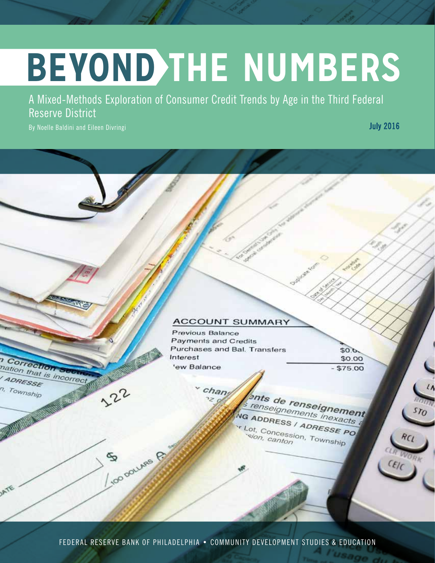# **BEYOND THE NUMBERS**

A Mixed-Methods Exploration of Consumer Credit Trends by Age in the Third Federal Reserve District

By Noelle Baldini and Eileen Divringi

Correction

ADRESSE n, Township

mation that is incorrect

122

So ouves P

July 2016

### **ACCOUNT SUMMARY**

Previous Balance Payments and Credits Purchases and Bal. Transfers Interest 'ew Balance

 $50.0$ \$0.00 \$75.00

chang ents de renseignement Tenseignements inexacts NG ADDRESS / ADRESSE PO Lot, Concession, Township

FEDERAL RESERVE BANK OF PHILADELPHIA • COMMUNITY DEVELOPMENT STUDIES & EDUCATION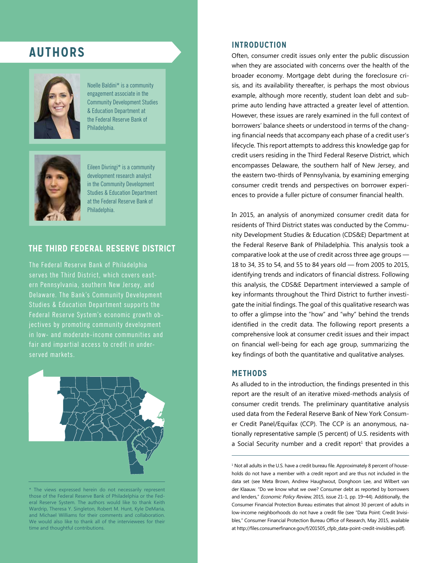# **AUTHORS**



Noelle Baldini\* is a community engagement associate in the Community Development Studies & Education Department at the Federal Reserve Bank of Philadelphia.



Eileen Divringi\* is a community development research analyst in the Community Development Studies & Education Department at the Federal Reserve Bank of Philadelphia.

## **THE THIRD FEDERAL RESERVE DISTRICT**

The Federal Reserve Bank of Philadelphia serves the Third District, which covers east-Delaware. The Bank's Community Development Studies & Education Department supports the Federal Reserve System's economic growth objectives by promoting community development in low- and moderate-income communities and fair and impartial access to credit in underserved markets.



<sup>\*</sup> The views expressed herein do not necessarily represent those of the Federal Reserve Bank of Philadelphia or the Federal Reserve System. The authors would like to thank Keith Wardrip, Theresa Y. Singleton, Robert M. Hunt, Kyle DeMaria, and Michael Williams for their comments and collaboration. We would also like to thank all of the interviewees for their time and thoughtful contributions.

#### **INTRODUCTION**

Often, consumer credit issues only enter the public discussion when they are associated with concerns over the health of the broader economy. Mortgage debt during the foreclosure crisis, and its availability thereafter, is perhaps the most obvious example, although more recently, student loan debt and subprime auto lending have attracted a greater level of attention. However, these issues are rarely examined in the full context of borrowers' balance sheets or understood in terms of the changing financial needs that accompany each phase of a credit user's lifecycle. This report attempts to address this knowledge gap for credit users residing in the Third Federal Reserve District, which encompasses Delaware, the southern half of New Jersey, and the eastern two-thirds of Pennsylvania, by examining emerging consumer credit trends and perspectives on borrower experiences to provide a fuller picture of consumer financial health.

In 2015, an analysis of anonymized consumer credit data for residents of Third District states was conducted by the Community Development Studies & Education (CDS&E) Department at the Federal Reserve Bank of Philadelphia. This analysis took a comparative look at the use of credit across three age groups — 18 to 34, 35 to 54, and 55 to 84 years old — from 2005 to 2015, identifying trends and indicators of financial distress. Following this analysis, the CDS&E Department interviewed a sample of key informants throughout the Third District to further investigate the initial findings. The goal of this qualitative research was to offer a glimpse into the "how" and "why" behind the trends identified in the credit data. The following report presents a comprehensive look at consumer credit issues and their impact on financial well-being for each age group, summarizing the key findings of both the quantitative and qualitative analyses.

#### **METHODS**

As alluded to in the introduction, the findings presented in this report are the result of an iterative mixed-methods analysis of consumer credit trends. The preliminary quantitative analysis used data from the Federal Reserve Bank of New York Consumer Credit Panel/Equifax (CCP). The CCP is an anonymous, nationally representative sample (5 percent) of U.S. residents with a Social Security number and a credit report $^{\rm 1}$  that provides a

 $^{\rm 1}$  Not all adults in the U.S. have a credit bureau file. Approximately 8 percent of households do not have a member with a credit report and are thus not included in the data set (see Meta Brown, Andrew Haughwout, Donghoon Lee, and Wilbert van der Klaauw. "Do we know what we owe? Consumer debt as reported by borrowers and lenders," Economic Policy Review, 2015, issue 21-1, pp. 19-44). Additionally, the Consumer Financial Protection Bureau estimates that almost 30 percent of adults in low-income neighborhoods do not have a credit file (see "Data Point: Credit Invisibles," Consumer Financial Protection Bureau Office of Research, May 2015, available at http://files.consumerfinance.gov/f/201505\_cfpb\_data-point-credit-invisibles.pdf).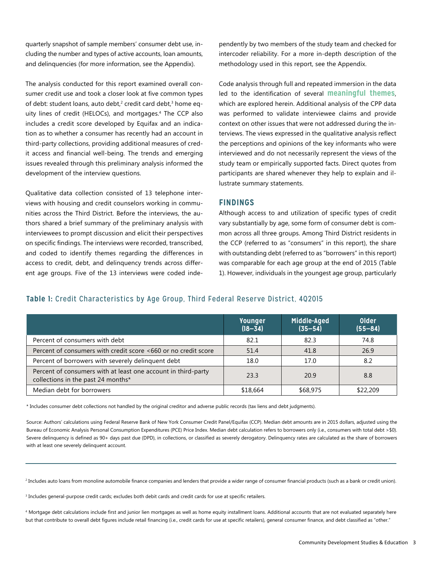quarterly snapshot of sample members' consumer debt use, including the number and types of active accounts, loan amounts, and delinquencies (for more information, see the Appendix).

The analysis conducted for this report examined overall consumer credit use and took a closer look at five common types of debt: student loans, auto debt,<sup>2</sup> credit card debt,<sup>3</sup> home equity lines of credit (HELOCs), and mortgages.4 The CCP also includes a credit score developed by Equifax and an indication as to whether a consumer has recently had an account in third-party collections, providing additional measures of credit access and financial well-being. The trends and emerging issues revealed through this preliminary analysis informed the development of the interview questions.

Qualitative data collection consisted of 13 telephone interviews with housing and credit counselors working in communities across the Third District. Before the interviews, the authors shared a brief summary of the preliminary analysis with interviewees to prompt discussion and elicit their perspectives on specific findings. The interviews were recorded, transcribed, and coded to identify themes regarding the differences in access to credit, debt, and delinquency trends across different age groups. Five of the 13 interviews were coded independently by two members of the study team and checked for intercoder reliability. For a more in-depth description of the methodology used in this report, see the Appendix.

Code analysis through full and repeated immersion in the data led to the identification of several **meaningful themes**, which are explored herein. Additional analysis of the CPP data was performed to validate interviewee claims and provide context on other issues that were not addressed during the interviews. The views expressed in the qualitative analysis reflect the perceptions and opinions of the key informants who were interviewed and do not necessarily represent the views of the study team or empirically supported facts. Direct quotes from participants are shared whenever they help to explain and illustrate summary statements.

#### **FINDINGS**

Although access to and utilization of specific types of credit vary substantially by age, some form of consumer debt is common across all three groups. Among Third District residents in the CCP (referred to as "consumers" in this report), the share with outstanding debt (referred to as "borrowers" in this report) was comparable for each age group at the end of 2015 (Table 1). However, individuals in the youngest age group, particularly

#### **Table 1:** Credit Characteristics by Age Group, Third Federal Reserve District, 4Q2015

|                                                                                                     | <b>Younger</b><br>$(18 - 34)$ | Middle-Aged<br>$(35 - 54)$ | Older<br>$(55 - 84)$ |
|-----------------------------------------------------------------------------------------------------|-------------------------------|----------------------------|----------------------|
| Percent of consumers with debt                                                                      | 82.1                          | 82.3                       | 74.8                 |
| Percent of consumers with credit score <660 or no credit score                                      | 51.4                          | 41.8                       | 26.9                 |
| Percent of borrowers with severely delinquent debt                                                  | 18.0                          | 17.0                       | 8.2                  |
| Percent of consumers with at least one account in third-party<br>collections in the past 24 months* | 23.3                          | 20.9                       | 8.8                  |
| Median debt for borrowers                                                                           | \$18,664                      | \$68,975                   | \$22,209             |

\* Includes consumer debt collections not handled by the original creditor and adverse public records (tax liens and debt judgments).

Source: Authors' calculations using Federal Reserve Bank of New York Consumer Credit Panel/Equifax (CCP). Median debt amounts are in 2015 dollars, adjusted using the Bureau of Economic Analysis Personal Consumption Expenditures (PCE) Price Index. Median debt calculation refers to borrowers only (i.e., consumers with total debt >\$0). Severe delinquency is defined as 90+ days past due (DPD), in collections, or classified as severely derogatory. Delinquency rates are calculated as the share of borrowers with at least one severely delinquent account.

2 Includes auto loans from monoline automobile finance companies and lenders that provide a wider range of consumer financial products (such as a bank or credit union).

 $^{\rm 3}$  Includes general-purpose credit cards; excludes both debit cards and credit cards for use at specific retailers.

4 Mortgage debt calculations include first and junior lien mortgages as well as home equity installment loans. Additional accounts that are not evaluated separately here but that contribute to overall debt figures include retail financing (i.e., credit cards for use at specific retailers), general consumer finance, and debt classified as "other."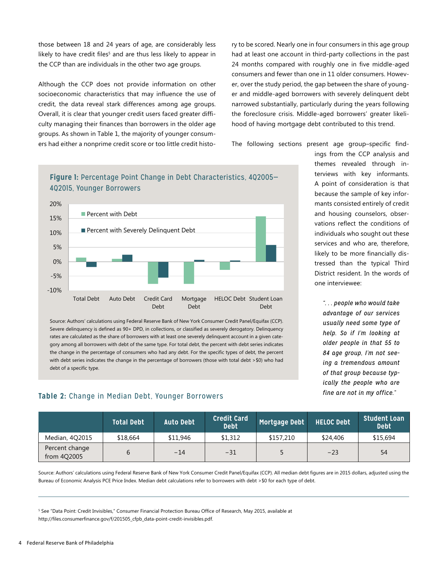those between 18 and 24 years of age, are considerably less likely to have credit files<sup>s</sup> and are thus less likely to appear in the CCP than are individuals in the other two age groups.

Although the CCP does not provide information on other socioeconomic characteristics that may influence the use of credit, the data reveal stark differences among age groups. Overall, it is clear that younger credit users faced greater difficulty managing their finances than borrowers in the older age groups. As shown in Table 1, the majority of younger consumers had either a nonprime credit score or too little credit histo-Percentage Point Change in Debt Characteristics, 4Q2005–4Q2015,

ry to be scored. Nearly one in four consumers in this age group had at least one account in third-party collections in the past 24 months compared with roughly one in five middle-aged consumers and fewer than one in 11 older consumers. However, over the study period, the gap between the share of younger and middle-aged borrowers with severely delinquent debt narrowed substantially, particularly during the years following the foreclosure crisis. Middle-aged borrowers' greater likelihood of having mortgage debt contributed to this trend.

The following sections present age group–specific find-



**Figure 1:** Percentage Point Change in Debt Characteristics, 4Q2005–

Source: Authors' calculations using Federal Reserve Bank of New York Consumer Credit Panel/Equifax (CCP). Severe delinquency is defined as 90+ DPD, in collections, or classified as severely derogatory. Delinquency rates are calculated as the share of borrowers with at least one severely delinquent account in a given category among all borrowers with debt of the same type. For total debt, the percent with debt series indicates the change in the percentage of consumers who had any debt. For the specific types of debt, the percent with debt series indicates the change in the percentage of borrowers (those with total debt >\$0) who had debt of a specific type.

#### **Table 2:** Change in Median Debt, Younger Borrowers

ings from the CCP analysis and themes revealed through interviews with key informants. A point of consideration is that because the sample of key informants consisted entirely of credit and housing counselors, observations reflect the conditions of individuals who sought out these services and who are, therefore,  $\blacksquare$  likely to be more financially distressed than the typical Third **Percent** District resident. In the words of one interviewee:

> *". . . people who would take advantage of our services usually need some type of help. So if I'm looking at older people in that 55 to 84 age group, I'm not seeing a tremendous amount of that group because typically the people who are fine are not in my office."*

|                               | <b>Total Debt</b> | <b>Auto Debt</b> | <b>Credit Card</b><br><b>Debt</b> | Mortgage Debt | <b>HELOC Debt</b> | <b>Student Loan</b><br><b>Debt</b> |
|-------------------------------|-------------------|------------------|-----------------------------------|---------------|-------------------|------------------------------------|
| Median, 4Q2015                | \$18,664          | \$11,946         | \$1.312                           | \$157,210     | \$24,406          | \$15,694                           |
| Percent change<br>from 4Q2005 |                   | $-14$            | $-31$                             |               | $-23$             | 54                                 |

Source: Authors' calculations using Federal Reserve Bank of New York Consumer Credit Panel/Equifax (CCP). All median debt figures are in 2015 dollars, adjusted using the Bureau of Economic Analysis PCE Price Index. Median debt calculations refer to borrowers with debt >\$0 for each type of debt.

5 See "Data Point: Credit Invisibles," Consumer Financial Protection Bureau Office of Research, May 2015, available at http://files.consumerfinance.gov/f/201505\_cfpb\_data-point-credit-invisibles.pdf.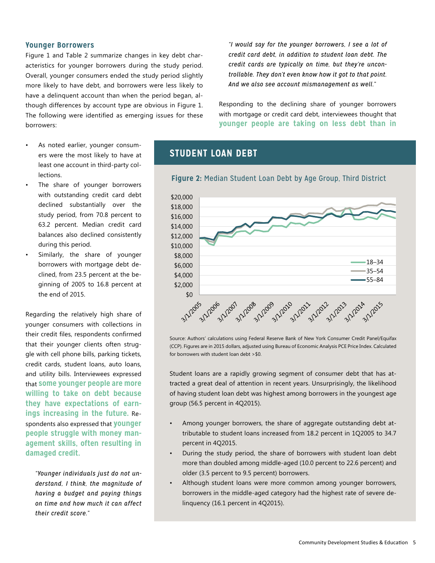#### **Younger Borrowers**

Figure 1 and Table 2 summarize changes in key debt characteristics for younger borrowers during the study period. Overall, younger consumers ended the study period slightly more likely to have debt, and borrowers were less likely to have a delinquent account than when the period began, although differences by account type are obvious in Figure 1. The following were identified as emerging issues for these borrowers:

- As noted earlier, younger consumers were the most likely to have at least one account in third-party collections.
- The share of younger borrowers declined substantially over the study period, from 70.8 percent to endie of the contract of the same of the 63.2 percent. Median credit card .<br>balances also declined consistently during this period.
- Similarly, the share of younger borrowers with mortgage debt declined, from 23.5 percent at the beginning of 2005 to 16.8 percent at  $\frac{4}{3}$ the end of 2015.  $\ddot{\phantom{0}}$  $\frac{8}{3}$ .<br>. . . . .

Regarding the relatively high share of younger consumers with collections in their credit files, respondents confirmed that their younger clients often struggle with cell phone bills, parking tickets, credit cards, student loans, auto loans, and utility bills. Interviewees expressed that **some younger people are more willing to take on debt because they have expectations of earnings increasing in the future.** Respondents also expressed that **younger people struggle with money management skills, often resulting in damaged credit.**

*"Younger individuals just do not understand, I think, the magnitude of having a budget and paying things on time and how much it can affect their credit score."*

*"I would say for the younger borrowers, I see a lot of credit card debt, in addition to student loan debt. The credit cards are typically on time, but they're uncontrollable. They don't even know how it got to that point. And we also see account mismanagement as well."*

Responding to the declining share of younger borrowers with mortgage or credit card debt, interviewees thought that **younger people are taking on less debt than in** 

## **STUDENT LOAN DEBT**



## Median Student Loan Debt by Age Group, Third District **Figure 2:** Median Student Loan Debt by Age Group, Third District

Source: Authors' calculations using Federal Reserve Bank of New York Consumer Credit Panel/Equifax (CCP). Figures are in 2015 dollars, adjusted using Bureau of Economic Analysis PCE Price Index. Calculated for borrowers with student loan debt >\$0.

Student loans are a rapidly growing segment of consumer debt that has attracted a great deal of attention in recent years. Unsurprisingly, the likelihood of having student loan debt was highest among borrowers in the youngest age group (56.5 percent in 4Q2015).

- Among younger borrowers, the share of aggregate outstanding debt attributable to student loans increased from 18.2 percent in 1Q2005 to 34.7 percent in 4Q2015.
- During the study period, the share of borrowers with student loan debt more than doubled among middle-aged (10.0 percent to 22.6 percent) and older (3.5 percent to 9.5 percent) borrowers.
- Although student loans were more common among younger borrowers, borrowers in the middle-aged category had the highest rate of severe delinquency (16.1 percent in 4Q2015).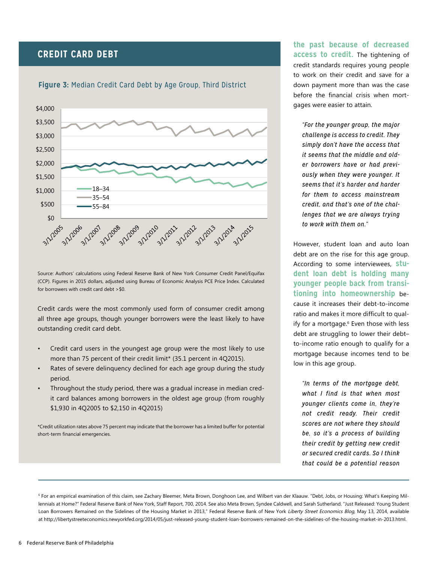## **CREDIT CARD DEBT**





Source: Authors' calculations using Federal Reserve Bank of New York Consumer Credit Panel/Equifax (CCP). Figures in 2015 dollars, adjusted using Bureau of Economic Analysis PCE Price Index. Calculated for borrowers with credit card debt >\$0.

Credit cards were the most commonly used form of consumer credit among all three age groups, though younger borrowers were the least likely to have outstanding credit card debt.

- Credit card users in the youngest age group were the most likely to use more than 75 percent of their credit limit\* (35.1 percent in 4Q2015).
- Rates of severe delinguency declined for each age group during the study period.
- Throughout the study period, there was a gradual increase in median credit card balances among borrowers in the oldest age group (from roughly \$1,930 in 4Q2005 to \$2,150 in 4Q2015)

\*Credit utilization rates above 75 percent may indicate that the borrower has a limited buffer for potential short-term financial emergencies.

**the past because of decreased access to credit.** The tightening of credit standards requires young people to work on their credit and save for a down payment more than was the case before the financial crisis when mortgages were easier to attain.

*"For the younger group, the major challenge is access to credit. They simply don't have the access that it seems that the middle and old-*18–34 *er borrowers have or had previ-*35–54 *ously when they were younger. It seems that it's harder and harder*  55–84 *for them to access mainstream credit, and that's one of the challenges that we are always trying to work with them on."*

However, student loan and auto loan debt are on the rise for this age group. According to some interviewees, **student loan debt is holding many younger people back from transitioning into homeownership** because it increases their debt-to-income ratio and makes it more difficult to qualify for a mortgage.<sup>6</sup> Even those with less debt are struggling to lower their debt– to-income ratio enough to qualify for a mortgage because incomes tend to be low in this age group.

*"In terms of the mortgage debt, what I find is that when most younger clients come in, they're not credit ready. Their credit scores are not where they should be, so it's a process of building their credit by getting new credit or secured credit cards. So I think that could be a potential reason* 

6 For an empirical examination of this claim, see Zachary Bleemer, Meta Brown, Donghoon Lee, and Wilbert van der Klaauw. "Debt, Jobs, or Housing: What's Keeping Millennials at Home?" Federal Reserve Bank of New York, Staff Report, 700, 2014. See also Meta Brown, Syndee Caldwell, and Sarah Sutherland. "Just Released: Young Student Loan Borrowers Remained on the Sidelines of the Housing Market in 2013," Federal Reserve Bank of New York Liberty Street Economics Blog, May 13, 2014, available at http://libertystreeteconomics.newyorkfed.org/2014/05/just-released-young-student-loan-borrowers-remained-on-the-sidelines-of-the-housing-market-in-2013.html.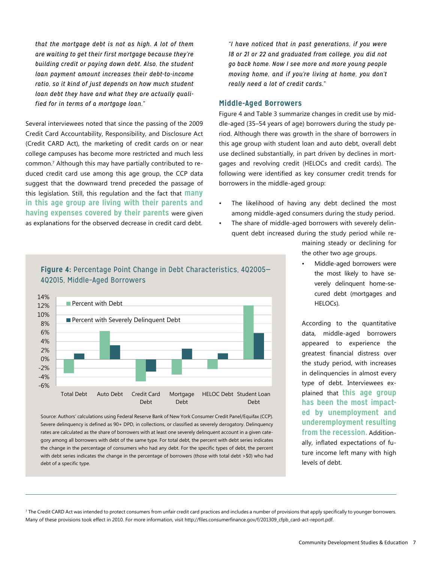*that the mortgage debt is not as high. A lot of them are waiting to get their first mortgage because they're building credit or paying down debt. Also, the student loan payment amount increases their debt-to-income ratio, so it kind of just depends on how much student loan debt they have and what they are actually qualified for in terms of a mortgage loan."*

Several interviewees noted that since the passing of the 2009 Credit Card Accountability, Responsibility, and Disclosure Act (Credit CARD Act), the marketing of credit cards on or near college campuses has become more restricted and much less common.7 Although this may have partially contributed to reduced credit card use among this age group, the CCP data suggest that the downward trend preceded the passage of this legislation. Still, this regulation and the fact that **many in this age group are living with their parents and having expenses covered by their parents** were given as explanations for the observed decrease in credit card debt.  $\frac{ds}{dt}$ 

Percent with Debt

Percent with Severely Delinquent Debt

-4% -2%  $0%$ 2% 4% 6% 8% 10% 12% 14%

 $\overline{\phantom{a}}$   $\overline{\phantom{a}}$ 

*"I have noticed that in past generations, if you were 18 or 21 or 22 and graduated from college, you did not go back home. Now I see more and more young people moving home, and if you're living at home, you don't really need a lot of credit cards."*

#### **Middle-Aged Borrowers**

Figure 4 and Table 3 summarize changes in credit use by middle-aged (35–54 years of age) borrowers during the study period. Although there was growth in the share of borrowers in this age group with student loan and auto debt, overall debt use declined substantially, in part driven by declines in mortgages and revolving credit (HELOCs and credit cards). The following were identified as key consumer credit trends for borrowers in the middle-aged group:

- The likelihood of having any debt declined the most among middle-aged consumers during the study period.
- The share of middle-aged borrowers with severely delin
	- quent debt increased during the study period while remaining steady or declining for

the other two age groups.

• Middle-aged borrowers were the most likely to have severely delinquent home-secured debt (mortgages and HELOCs).

Percent with Debt data, middle-aged borrowers ercent vit<br>greatest financial distress over debt<br>Debt According to the quantitative appeared to experience the the study period, with increases in delinquencies in almost every type of debt. Interviewees explained that **this age group has been the most impacted by unemployment and underemployment resulting from the recession.** Additionally, inflated expectations of future income left many with high

levels of debt.

#### Source: Authors' calculations using Federal Reserve Bank of New York Consumer Credit Panel/Equifax (CCP). Severe delinquency is defined as 90+ DPD, in collections, or classified as severely derogatory. Delinquency rates are calculated as the share of borrowers with at least one severely delinquent account in a given category among all borrowers with debt of the same type. For total debt, the percent with debt series indicates -6% Total Debt Auto Debt Credit Card Debt Mortgage Debt HELOC Debt Student Loan Debt

**Figure 4: Percentage Point Change in Debt Characteristics, 4Q2005–** Middle-Aged Borrowers 4Q2015, Middle–Aged Borrowers

the change in the percentage of consumers who had any debt. For the specific types of debt, the percent with debt series indicates the change in the percentage of borrowers (those with total debt >\$0) who had debt of a specific type.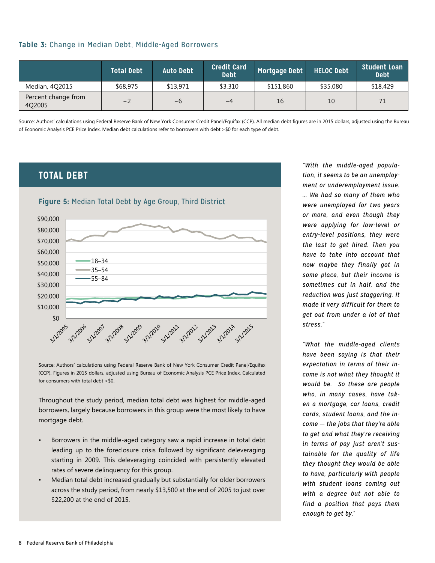#### **Table 3:** Change in Median Debt, Middle-Aged Borrowers

|                               | <b>Total Debt</b> | <b>Auto Debt</b> | <b>Credit Card</b><br><b>Debt</b> | Mortgage Debt | <b>HELOC Debt</b> | <b>Student Loan</b><br><b>Debt</b> |
|-------------------------------|-------------------|------------------|-----------------------------------|---------------|-------------------|------------------------------------|
| Median, 4Q2015                | \$68,975          | \$13,971         | \$3,310                           | \$151,860     | \$35,080          | \$18,429                           |
| Percent change from<br>4Q2005 | $-2$              | $-6$             | $-4$                              | 16            | 10                |                                    |

Source: Authors' calculations using Federal Reserve Bank of New York Consumer Credit Panel/Equifax (CCP). All median debt figures are in 2015 dollars, adjusted using the Bureau of Economic Analysis PCE Price Index. Median debt calculations refer to borrowers with debt >\$0 for each type of debt.

## **TOTAL DEBT**



Source: Authors' calculations using Federal Reserve Bank of New York Consumer Credit Panel/Equifax (CCP). Figures in 2015 dollars, adjusted using Bureau of Economic Analysis PCE Price Index. Calculated for consumers with total debt >\$0.

Throughout the study period, median total debt was highest for middle-aged borrowers, largely because borrowers in this group were the most likely to have mortgage debt.

- Borrowers in the middle-aged category saw a rapid increase in total debt leading up to the foreclosure crisis followed by significant deleveraging starting in 2009. This deleveraging coincided with persistently elevated rates of severe delinquency for this group.
- Median total debt increased gradually but substantially for older borrowers across the study period, from nearly \$13,500 at the end of 2005 to just over \$22,200 at the end of 2015.

*"With the middle-aged population, it seems to be an unemployment or underemployment issue. ... We had so many of them who were unemployed for two years or more, and even though they were applying for low-level or entry-level positions, they were the last to get hired. Then you have to take into account that*  now maybe they finally got in some place, but their income is sometimes cut in half, and the *reduction was just staggering. It made it very difficult for them to get out from under a lot of that stress."*

*"What the middle-aged clients have been saying is that their expectation in terms of their income is not what they thought it would be. So these are people who, in many cases, have taken a mortgage, car loans, credit cards, student loans, and the income* — *the jobs that they're able to get and what they're receiving in terms of pay just aren't sustainable for the quality of life they thought they would be able to have, particularly with people with student loans coming out with a degree but not able to find a position that pays them enough to get by."*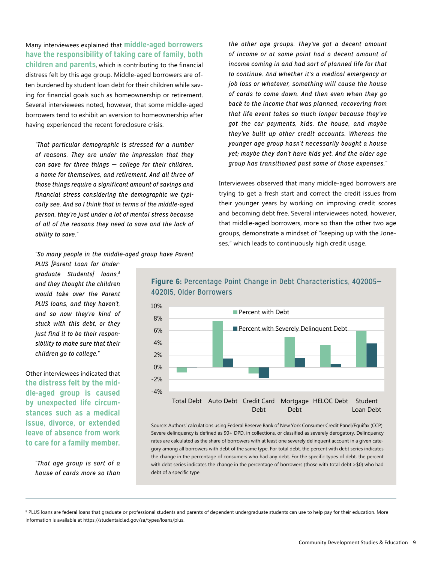Many interviewees explained that **middle-aged borrowers have the responsibility of taking care of family, both children and parents**, which is contributing to the financial distress felt by this age group. Middle-aged borrowers are often burdened by student loan debt for their children while saving for financial goals such as homeownership or retirement. Several interviewees noted, however, that some middle-aged borrowers tend to exhibit an aversion to homeownership after having experienced the recent foreclosure crisis.

*"That particular demographic is stressed for a number of reasons. They are under the impression that they can save for three things* — *college for their children, a home for themselves, and retirement. And all three of those things require a significant amount of savings and financial stress considering the demographic we typically see. And so I think that in terms of the middle-aged person, they're just under a lot of mental stress because of all of the reasons they need to save and the lack of*   $\it ability$  to save."

*the other age groups. They've got a decent amount of income or at some point had a decent amount of income coming in and had sort of planned life for that to continue. And whether it's a medical emergency or job loss or whatever, something will cause the house of cards to come down. And then even when they go back to the income that was planned, recovering from that life event takes so much longer because they've got the car payments, kids, the house, and maybe they've built up other credit accounts. Whereas the younger age group hasn't necessarily bought a house yet; maybe they don't have kids yet. And the older age group has transitioned past some of those expenses."*

Interviewees observed that many middle-aged borrowers are trying to get a fresh start and correct the credit issues from their younger years by working on improving credit scores and becoming debt free. Several interviewees noted, however, that middle-aged borrowers, more so than the other two age groups, demonstrate a mindset of "keeping up with the Joneses," which leads to continuously high credit usage.

#### *"So many people in the middle-aged group have Parent*

*PLUS [Parent Loan for Undergraduate Students] loans,8 and they thought the children would take over the Parent PLUS loans, and they haven't, and so now they're kind of stuck with this debt, or they just find it to be their responsibility to make sure that their*  children go to college."

Other interviewees indicated that **the distress felt by the middle-aged group is caused by unexpected life circumstances such as a medical issue, divorce, or extended leave of absence from work to care for a family member.**

*"That age group is sort of a house of cards more so than* 



## 10% 4Q2005–4Q2015, Older Borrowers 4Q2015, Older Borrowers

**Figure 6:** Percentage Point Change in Debt Characteristics, 4Q2005–

Source: Authors' calculations using Federal Reserve Bank of New York Consumer Credit Panel/Equifax (CCP). Severe delinquency is defined as 90+ DPD, in collections, or classified as severely derogatory. Delinquency rates are calculated as the share of borrowers with at least one severely delinquent account in a given category among all borrowers with debt of the same type. For total debt, the percent with debt series indicates the change in the percentage of consumers who had any debt. For the specific types of debt, the percent with debt series indicates the change in the percentage of borrowers (those with total debt >\$0) who had debt of a specific type.

8 PLUS loans are federal loans that graduate or professional students and parents of dependent undergraduate students can use to help pay for their education. More information is available at https://studentaid.ed.gov/sa/types/loans/plus.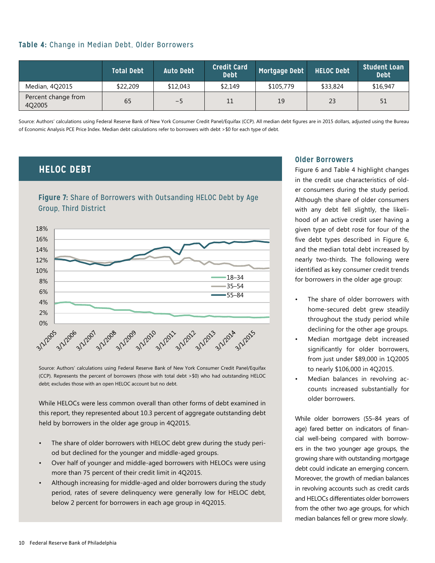#### **Table 4:** Change in Median Debt, Older Borrowers

|                               | <b>Total Debt</b> | <b>Auto Debt</b> | <b>Credit Card</b><br><b>Debt</b> | Mortgage Debt | <b>HELOC Debt</b> | <b>Student Loan</b><br><b>Debt</b> |
|-------------------------------|-------------------|------------------|-----------------------------------|---------------|-------------------|------------------------------------|
| Median, 4Q2015                | \$22,209          | \$12,043         | \$2.149                           | \$105,779     | \$33,824          | \$16,947                           |
| Percent change from<br>402005 | 65                | $-5$             | 11                                | 19            | 23                | 51                                 |

Source: Authors' calculations using Federal Reserve Bank of New York Consumer Credit Panel/Equifax (CCP). All median debt figures are in 2015 dollars, adjusted using the Bureau of Economic Analysis PCE Price Index. Median debt calculations refer to borrowers with debt >\$0 for each type of debt.

## **HELOC DEBT**

## **Figure 7:** Share of Borrowers with Outsanding HELOC Debt by Age **Third District** Company Group, Third District



Source: Authors' calculations using Federal Reserve Bank of New York Consumer Credit Panel/Equifax (CCP). Represents the percent of borrowers (those with total debt >\$0) who had outstanding HELOC debt; excludes those with an open HELOC account but no debt.

While HELOCs were less common overall than other forms of debt examined in this report, they represented about 10.3 percent of aggregate outstanding debt held by borrowers in the older age group in 4Q2015.

- The share of older borrowers with HELOC debt grew during the study period but declined for the younger and middle-aged groups.
- Over half of younger and middle-aged borrowers with HELOCs were using more than 75 percent of their credit limit in 4Q2015.
- Although increasing for middle-aged and older borrowers during the study period, rates of severe delinquency were generally low for HELOC debt, below 2 percent for borrowers in each age group in 4Q2015.

#### **Older Borrowers**

Figure 6 and Table 4 highlight changes in the credit use characteristics of older consumers during the study period. Although the share of older consumers with any debt fell slightly, the likelihood of an active credit user having a given type of debt rose for four of the five debt types described in Figure 6, and the median total debt increased by nearly two-thirds. The following were identified as key consumer credit trends for borrowers in the older age group:

- The share of older borrowers with home-secured debt grew steadily throughout the study period while declining for the other age groups.
- Median mortgage debt increased significantly for older borrowers, from just under \$89,000 in 1Q2005 to nearly \$106,000 in 4Q2015.
- Median balances in revolving accounts increased substantially for older borrowers.

While older borrowers (55–84 years of age) fared better on indicators of financial well-being compared with borrowers in the two younger age groups, the growing share with outstanding mortgage debt could indicate an emerging concern. Moreover, the growth of median balances in revolving accounts such as credit cards and HELOCs differentiates older borrowers from the other two age groups, for which median balances fell or grew more slowly.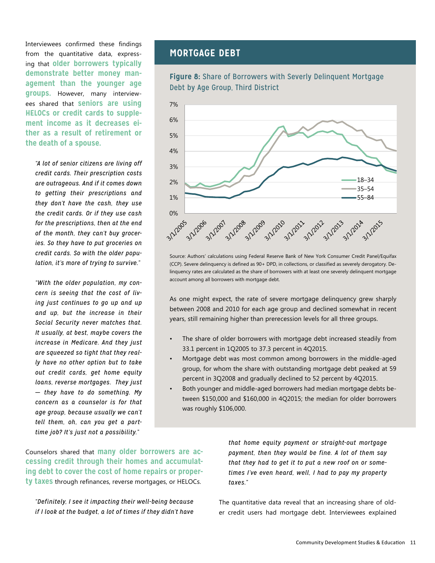Interviewees confirmed these findings from the quantitative data, expressing that **older borrowers typically demonstrate better money management than the younger age groups.** However, many interviewees shared that **seniors are using ment income as it decreases either as a result of retirement or the death of a spouse.** \$18,000

*"A lot of senior citizens are living off*  \$14,000 *credit cards. Their prescription costs are outrageous. And if it comes down*  \$8,000 to getting their prescriptions and *they don't have the cash, they use*  \$4,000 *the credit cards. Or if they use cash*  \$2,000 *for the prescriptions, then at the end*  \$0 *of the month, they can't buy groceries. So they have to put groceries on credit cards. So with the older population, it's more of trying to survive."* www.  $\frac{1}{2}$ 

*"With the older population, my concern is seeing that the cost of living just continues to go up and up and up, but the increase in their Social Security never matches that. It usually, at best, maybe covers the increase in Medicare. And they just are squeezed so tight that they really have no other option but to take out credit cards, get home equity loans, reverse mortgages. They just*  — *they have to do something. My concern as a counselor is for that age group, because usually we can't tell them, oh, can you get a parttime job? It's just not a possibility."*

## **MORTGAGE DEBT**

## Figure 8: Share of Borrowers with Severly Delinquent Mortgage Debt by Age Group, Third District



Source: Authors' calculations using Federal Reserve Bank of New York Consumer Credit Panel/Equifax (CCP). Severe delinquency is defined as 90+ DPD, in collections, or classified as severely derogatory. Delinquency rates are calculated as the share of borrowers with at least one severely delinquent mortgage account among all borrowers with mortgage debt.

As one might expect, the rate of severe mortgage delinquency grew sharply between 2008 and 2010 for each age group and declined somewhat in recent years, still remaining higher than prerecession levels for all three groups.

- The share of older borrowers with mortgage debt increased steadily from 33.1 percent in 1Q2005 to 37.3 percent in 4Q2015.
- Mortgage debt was most common among borrowers in the middle-aged group, for whom the share with outstanding mortgage debt peaked at 59 percent in 3Q2008 and gradually declined to 52 percent by 4Q2015.
- Both younger and middle-aged borrowers had median mortgage debts between \$150,000 and \$160,000 in 4Q2015; the median for older borrowers was roughly \$106,000.

Counselors shared that **many older borrowers are accessing credit through their homes and accumulating debt to cover the cost of home repairs or property taxes** through refinances, reverse mortgages, or HELOCs.

*"Definitely, I see it impacting their well-being because if I look at the budget, a lot of times if they didn't have* 

*that home equity payment or straight-out mortgage payment, then they would be fine. A lot of them say that they had to get it to put a new roof on or sometimes I've even heard, well, I had to pay my property taxes."*

The quantitative data reveal that an increasing share of older credit users had mortgage debt. Interviewees explained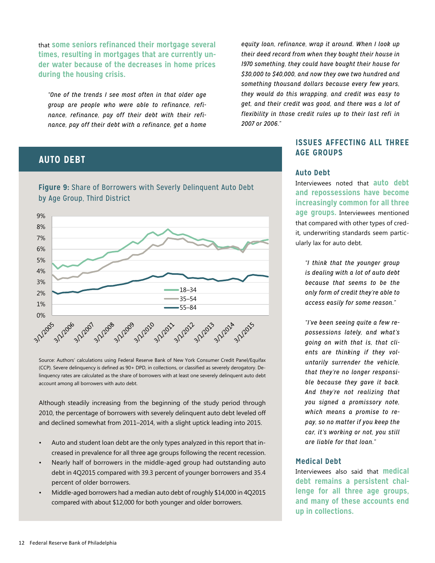that **some seniors refinanced their mortgage several times, resulting in mortgages that are currently under water because of the decreases in home prices during the housing crisis.**

*"One of the trends I see most often in that older age group are people who were able to refinance, refinance, refinance, pay off their debt with their refinance, pay off their debt with a refinance, get a home* 

## **AUTO DEBT**

**Figure 9:** Share of Borrowers with Severly Delinquent Auto Debt<br>. by Age Group, Third District



Source: Authors' calculations using Federal Reserve Bank of New York Consumer Credit Panel/Equifax (CCP). Severe delinquency is defined as 90+ DPD, in collections, or classified as severely derogatory. Delinquency rates are calculated as the share of borrowers with at least one severely delinquent auto debt account among all borrowers with auto debt.

Although steadily increasing from the beginning of the study period through 2010, the percentage of borrowers with severely delinquent auto debt leveled off and declined somewhat from 2011–2014, with a slight uptick leading into 2015.

- Auto and student loan debt are the only types analyzed in this report that increased in prevalence for all three age groups following the recent recession.
- Nearly half of borrowers in the middle-aged group had outstanding auto debt in 4Q2015 compared with 39.3 percent of younger borrowers and 35.4 percent of older borrowers.
- Middle-aged borrowers had a median auto debt of roughly \$14,000 in 4Q2015 compared with about \$12,000 for both younger and older borrowers.

*equity loan, refinance, wrap it around. When I look up their deed record from when they bought their house in 1970 something, they could have bought their house for \$30,000 to \$40,000, and now they owe two hundred and something thousand dollars because every few years, they would do this wrapping, and credit was easy to get, and their credit was good, and there was a lot of flexibility in those credit rules up to their last refi in 2007 or 2006."*

## **ISSUES AFFECTING ALL THREE AGE GROUPS**

#### **Auto Debt**

Interviewees noted that **auto debt and repossessions have become increasingly common for all three age groups.** Interviewees mentioned that compared with other types of credit, underwriting standards seem particularly lax for auto debt.

18–34 *"I think that the younger group*  35–54 *is dealing with a lot of auto debt*  55–84 *because that seems to be the only form of credit they're able to access easily for some reason."*

*"I've been seeing quite a few repossessions lately, and what's going on with that is, that clients are thinking if they voluntarily surrender the vehicle, that they're no longer responsible because they gave it back. And they're not realizing that you signed a promissory note, which means a promise to repay, so no matter if you keep the car, it's working or not, you still are liable for that loan."*

#### **Medical Debt**

Interviewees also said that **medical debt remains a persistent challenge for all three age groups, and many of these accounts end up in collections.**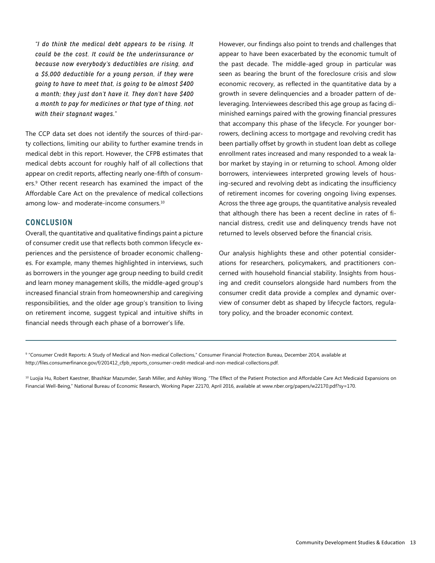*"I do think the medical debt appears to be rising. It could be the cost. It could be the underinsurance or because now everybody's deductibles are rising, and a \$5,000 deductible for a young person, if they were going to have to meet that, is going to be almost \$400 a month; they just don't have it. They don't have \$400 a month to pay for medicines or that type of thing, not with their stagnant wages."*

The CCP data set does not identify the sources of third-party collections, limiting our ability to further examine trends in medical debt in this report. However, the CFPB estimates that medical debts account for roughly half of all collections that appear on credit reports, affecting nearly one-fifth of consumers.9 Other recent research has examined the impact of the Affordable Care Act on the prevalence of medical collections among low- and moderate-income consumers.<sup>10</sup>

#### **CONCLUSION**

Overall, the quantitative and qualitative findings paint a picture of consumer credit use that reflects both common lifecycle experiences and the persistence of broader economic challenges. For example, many themes highlighted in interviews, such as borrowers in the younger age group needing to build credit and learn money management skills, the middle-aged group's increased financial strain from homeownership and caregiving responsibilities, and the older age group's transition to living on retirement income, suggest typical and intuitive shifts in financial needs through each phase of a borrower's life.

However, our findings also point to trends and challenges that appear to have been exacerbated by the economic tumult of the past decade. The middle-aged group in particular was seen as bearing the brunt of the foreclosure crisis and slow economic recovery, as reflected in the quantitative data by a growth in severe delinquencies and a broader pattern of deleveraging. Interviewees described this age group as facing diminished earnings paired with the growing financial pressures that accompany this phase of the lifecycle. For younger borrowers, declining access to mortgage and revolving credit has been partially offset by growth in student loan debt as college enrollment rates increased and many responded to a weak labor market by staying in or returning to school. Among older borrowers, interviewees interpreted growing levels of housing-secured and revolving debt as indicating the insufficiency of retirement incomes for covering ongoing living expenses. Across the three age groups, the quantitative analysis revealed that although there has been a recent decline in rates of financial distress, credit use and delinquency trends have not returned to levels observed before the financial crisis.

Our analysis highlights these and other potential considerations for researchers, policymakers, and practitioners concerned with household financial stability. Insights from housing and credit counselors alongside hard numbers from the consumer credit data provide a complex and dynamic overview of consumer debt as shaped by lifecycle factors, regulatory policy, and the broader economic context.

9 "Consumer Credit Reports: A Study of Medical and Non-medical Collections," Consumer Financial Protection Bureau, December 2014, available at http://files.consumerfinance.gov/f/201412\_cfpb\_reports\_consumer-credit-medical-and-non-medical-collections.pdf.

<sup>10</sup> Luojia Hu, Robert Kaestner, Bhashkar Mazumder, Sarah Miller, and Ashley Wong. "The Effect of the Patient Protection and Affordable Care Act Medicaid Expansions on Financial Well-Being," National Bureau of Economic Research, Working Paper 22170, April 2016, available at www.nber.org/papers/w22170.pdf?sy=170.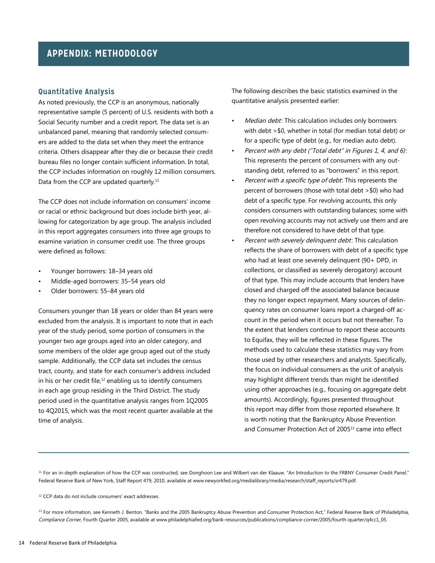#### **Quantitative Analysis**

As noted previously, the CCP is an anonymous, nationally representative sample (5 percent) of U.S. residents with both a Social Security number and a credit report. The data set is an unbalanced panel, meaning that randomly selected consumers are added to the data set when they meet the entrance criteria. Others disappear after they die or because their credit bureau files no longer contain sufficient information. In total, the CCP includes information on roughly 12 million consumers. Data from the CCP are updated quarterly.<sup>11</sup>

The CCP does not include information on consumers' income or racial or ethnic background but does include birth year, allowing for categorization by age group. The analysis included in this report aggregates consumers into three age groups to examine variation in consumer credit use. The three groups were defined as follows:

- Younger borrowers: 18–34 years old
- Middle-aged borrowers: 35–54 years old
- Older borrowers: 55–84 years old

Consumers younger than 18 years or older than 84 years were excluded from the analysis. It is important to note that in each year of the study period, some portion of consumers in the younger two age groups aged into an older category, and some members of the older age group aged out of the study sample. Additionally, the CCP data set includes the census tract, county, and state for each consumer's address included in his or her credit file, $12$  enabling us to identify consumers in each age group residing in the Third District. The study period used in the quantitative analysis ranges from 1Q2005 to 4Q2015, which was the most recent quarter available at the time of analysis.

The following describes the basic statistics examined in the quantitative analysis presented earlier:

- Median debt: This calculation includes only borrowers with debt >\$0, whether in total (for median total debt) or for a specific type of debt (e.g., for median auto debt).
- Percent with any debt ("Total debt" in Figures 1, 4, and 6): This represents the percent of consumers with any outstanding debt, referred to as "borrowers" in this report.
- Percent with a specific type of debt: This represents the percent of borrowers (those with total debt >\$0) who had debt of a specific type. For revolving accounts, this only considers consumers with outstanding balances; some with open revolving accounts may not actively use them and are therefore not considered to have debt of that type.
- Percent with severely delinquent debt: This calculation reflects the share of borrowers with debt of a specific type who had at least one severely delinquent (90+ DPD, in collections, or classified as severely derogatory) account of that type. This may include accounts that lenders have closed and charged off the associated balance because they no longer expect repayment. Many sources of delinquency rates on consumer loans report a charged-off account in the period when it occurs but not thereafter. To the extent that lenders continue to report these accounts to Equifax, they will be reflected in these figures. The methods used to calculate these statistics may vary from those used by other researchers and analysts. Specifically, the focus on individual consumers as the unit of analysis may highlight different trends than might be identified using other approaches (e.g., focusing on aggregate debt amounts). Accordingly, figures presented throughout this report may differ from those reported elsewhere. It is worth noting that the Bankruptcy Abuse Prevention and Consumer Protection Act of 2005<sup>13</sup> came into effect

<sup>11</sup> For an in-depth explanation of how the CCP was constructed, see Donghoon Lee and Wilbert van der Klaauw. "An Introduction to the FRBNY Consumer Credit Panel," Federal Reserve Bank of New York, Staff Report 479, 2010, available at www.newyorkfed.org/medialibrary/media/research/staff\_reports/sr479.pdf.

12 CCP data do not include consumers' exact addresses.

<sup>13</sup> For more information, see Kenneth J. Benton. "Banks and the 2005 Bankruptcy Abuse Prevention and Consumer Protection Act," Federal Reserve Bank of Philadelphia, Compliance Corner, Fourth Quarter 2005, available at www.philadelphiafed.org/bank-resources/publications/compliance-corner/2005/fourth-quarter/q4cc1\_05.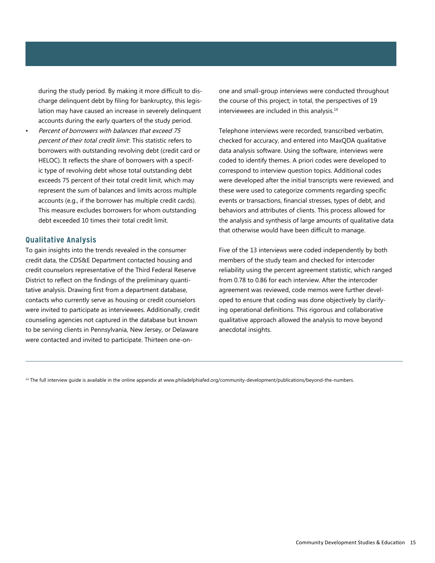during the study period. By making it more difficult to discharge delinquent debt by filing for bankruptcy, this legislation may have caused an increase in severely delinquent accounts during the early quarters of the study period.

• Percent of borrowers with balances that exceed 75 percent of their total credit limit: This statistic refers to borrowers with outstanding revolving debt (credit card or HELOC). It reflects the share of borrowers with a specific type of revolving debt whose total outstanding debt exceeds 75 percent of their total credit limit, which may represent the sum of balances and limits across multiple accounts (e.g., if the borrower has multiple credit cards). This measure excludes borrowers for whom outstanding debt exceeded 10 times their total credit limit.

#### **Qualitative Analysis**

To gain insights into the trends revealed in the consumer credit data, the CDS&E Department contacted housing and credit counselors representative of the Third Federal Reserve District to reflect on the findings of the preliminary quantitative analysis. Drawing first from a department database, contacts who currently serve as housing or credit counselors were invited to participate as interviewees. Additionally, credit counseling agencies not captured in the database but known to be serving clients in Pennsylvania, New Jersey, or Delaware were contacted and invited to participate. Thirteen one-onone and small-group interviews were conducted throughout the course of this project; in total, the perspectives of 19 interviewees are included in this analysis.<sup>14</sup>

Telephone interviews were recorded, transcribed verbatim, checked for accuracy, and entered into MaxQDA qualitative data analysis software. Using the software, interviews were coded to identify themes. A priori codes were developed to correspond to interview question topics. Additional codes were developed after the initial transcripts were reviewed, and these were used to categorize comments regarding specific events or transactions, financial stresses, types of debt, and behaviors and attributes of clients. This process allowed for the analysis and synthesis of large amounts of qualitative data that otherwise would have been difficult to manage.

Five of the 13 interviews were coded independently by both members of the study team and checked for intercoder reliability using the percent agreement statistic, which ranged from 0.78 to 0.86 for each interview. After the intercoder agreement was reviewed, code memos were further developed to ensure that coding was done objectively by clarifying operational definitions. This rigorous and collaborative qualitative approach allowed the analysis to move beyond anecdotal insights.

<sup>14</sup> The full interview guide is available in the online appendix at www.philadelphiafed.org/community-development/publications/beyond-the-numbers.